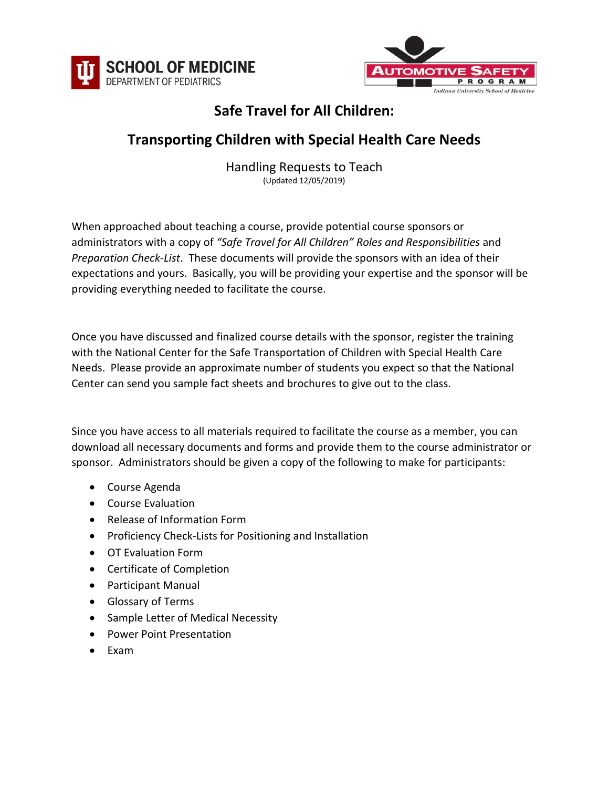



## **Safe Travel for All Children:**

## **Transporting Children with Special Health Care Needs**

Handling Requests to Teach (Updated 12/05/2019)

When approached about teaching a course, provide potential course sponsors or administrators with a copy of *"Safe Travel for All Children" Roles and Responsibilities* and *Preparation Check-List*. These documents will provide the sponsors with an idea of their expectations and yours. Basically, you will be providing your expertise and the sponsor will be providing everything needed to facilitate the course.

Once you have discussed and finalized course details with the sponsor, register the training with the National Center for the Safe Transportation of Children with Special Health Care Needs. Please provide an approximate number of students you expect so that the National Center can send you sample fact sheets and brochures to give out to the class.

Since you have access to all materials required to facilitate the course as a member, you can download all necessary documents and forms and provide them to the course administrator or sponsor. Administrators should be given a copy of the following to make for participants:

- Course Agenda
- Course Evaluation
- Release of Information Form
- Proficiency Check-Lists for Positioning and Installation
- OT Evaluation Form
- Certificate of Completion
- Participant Manual
- Glossary of Terms
- Sample Letter of Medical Necessity
- Power Point Presentation
- Exam